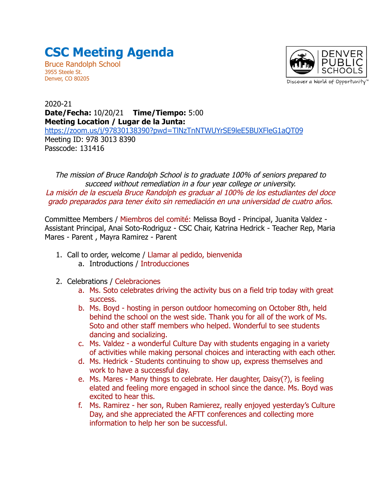## **CSC Meeting Agenda**

Bruce Randolph School 3955 Steele St. Denver, CO 80205



## 2020-21 **Date/Fecha:** 10/20/21 **Time/Tiempo:** 5:00 **Meeting Location / Lugar de la Junta:** <https://zoom.us/j/97830138390?pwd=TlNzTnNTWUYrSE9leE5BUXFleG1aQT09> Meeting ID: 978 3013 8390 Passcode: 131416

The mission of Bruce Randolph School is to graduate 100% of seniors prepared to succeed without remediation in a four year college or university. La misión de la escuela Bruce Randolph es graduar al 100% de los estudiantes del doce grado preparados para tener éxito sin remediación en una universidad de cuatro años.

Committee Members / Miembros del comité: Melissa Boyd - Principal, Juanita Valdez - Assistant Principal, Anai Soto-Rodriguz - CSC Chair, Katrina Hedrick - Teacher Rep, Maria Mares - Parent , Mayra Ramirez - Parent

- 1. Call to order, welcome / Llamar al pedido, bienvenida a. Introductions / Introducciones
- 2. Celebrations / Celebraciones
	- a. Ms. Soto celebrates driving the activity bus on a field trip today with great success.
	- b. Ms. Boyd hosting in person outdoor homecoming on October 8th, held behind the school on the west side. Thank you for all of the work of Ms. Soto and other staff members who helped. Wonderful to see students dancing and socializing.
	- c. Ms. Valdez a wonderful Culture Day with students engaging in a variety of activities while making personal choices and interacting with each other.
	- d. Ms. Hedrick Students continuing to show up, express themselves and work to have a successful day.
	- e. Ms. Mares Many things to celebrate. Her daughter, Daisy(?), is feeling elated and feeling more engaged in school since the dance. Ms. Boyd was excited to hear this.
	- f. Ms. Ramirez her son, Ruben Ramierez, really enjoyed yesterday's Culture Day, and she appreciated the AFTT conferences and collecting more information to help her son be successful.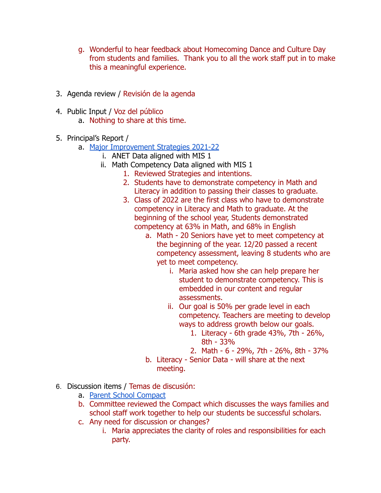- g. Wonderful to hear feedback about Homecoming Dance and Culture Day from students and families. Thank you to all the work staff put in to make this a meaningful experience.
- 3. Agenda review / Revisión de la agenda
- 4. Public Input / Voz del público
	- a. Nothing to share at this time.
- 5. Principal's Report /
	- a. [Major Improvement Strategies 2021-22](https://docs.google.com/document/d/1z6k2zcrzXqPNOCdFGB_acnwrJHuR7sLfhRplt_4I8iU/edit?usp=sharing)
		- i. ANET Data aligned with MIS 1
		- ii. Math Competency Data aligned with MIS 1
			- 1. Reviewed Strategies and intentions.
			- 2. Students have to demonstrate competency in Math and Literacy in addition to passing their classes to graduate.
			- 3. Class of 2022 are the first class who have to demonstrate competency in Literacy and Math to graduate. At the beginning of the school year, Students demonstrated competency at 63% in Math, and 68% in English
				- a. Math 20 Seniors have yet to meet competency at the beginning of the year. 12/20 passed a recent competency assessment, leaving 8 students who are yet to meet competency.
					- i. Maria asked how she can help prepare her student to demonstrate competency. This is embedded in our content and regular assessments.
					- ii. Our goal is 50% per grade level in each competency. Teachers are meeting to develop ways to address growth below our goals.
						- 1. Literacy 6th grade 43%, 7th 26%, 8th - 33%
						- 2. Math 6 29%, 7th 26%, 8th 37%
				- b. Literacy Senior Data will share at the next meeting.
- 6. Discussion items / Temas de discusión:
	- a. [Parent School Compact](https://docs.google.com/document/d/1e6nLKYhMuEOkOXfKHphnY8DCqG2TF2B5DRjQTg0Ce60/edit)
	- b. Committee reviewed the Compact which discusses the ways families and school staff work together to help our students be successful scholars.
	- c. Any need for discussion or changes?
		- i. Maria appreciates the clarity of roles and responsibilities for each party.